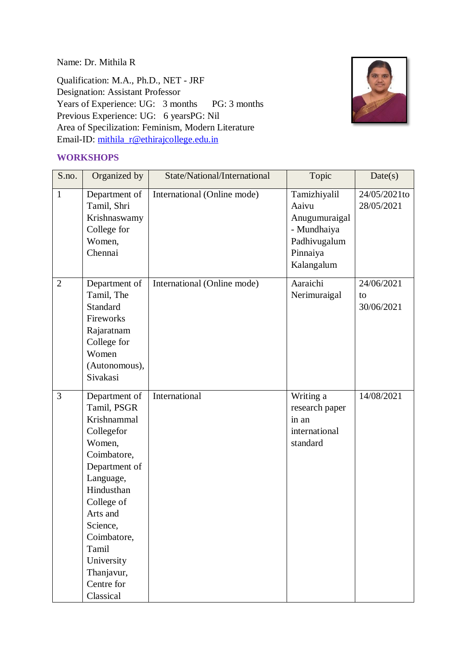Name: Dr. Mithila R

Qualification: M.A., Ph.D., NET - JRF Designation: Assistant Professor Years of Experience: UG: 3 months PG: 3 months Previous Experience: UG: 6 yearsPG: Nil Area of Specilization: Feminism, Modern Literature Email-ID: [mithila\\_r@ethirajcollege.edu.in](mailto:mithila_r@ethirajcollege.edu.in)



#### **WORKSHOPS**

| S.no.          | Organized by                 | State/National/International | Topic                 | Date(s)                    |
|----------------|------------------------------|------------------------------|-----------------------|----------------------------|
| $\mathbf{1}$   | Department of<br>Tamil, Shri | International (Online mode)  | Tamizhiyalil<br>Aaivu | 24/05/2021to<br>28/05/2021 |
|                | Krishnaswamy                 |                              | Anugumuraigal         |                            |
|                | College for                  |                              | - Mundhaiya           |                            |
|                | Women,                       |                              | Padhivugalum          |                            |
|                | Chennai                      |                              | Pinnaiya              |                            |
|                |                              |                              | Kalangalum            |                            |
| $\overline{2}$ | Department of                | International (Online mode)  | Aaraichi              | 24/06/2021                 |
|                | Tamil, The                   |                              | Nerimuraigal          | to                         |
|                | <b>Standard</b>              |                              |                       | 30/06/2021                 |
|                | Fireworks                    |                              |                       |                            |
|                | Rajaratnam                   |                              |                       |                            |
|                | College for                  |                              |                       |                            |
|                | Women                        |                              |                       |                            |
|                | (Autonomous),                |                              |                       |                            |
|                | Sivakasi                     |                              |                       |                            |
| $\overline{3}$ | Department of                | International                | Writing a             | 14/08/2021                 |
|                | Tamil, PSGR                  |                              | research paper        |                            |
|                | Krishnammal                  |                              | in an                 |                            |
|                | Collegefor                   |                              | international         |                            |
|                | Women,                       |                              | standard              |                            |
|                | Coimbatore,                  |                              |                       |                            |
|                | Department of                |                              |                       |                            |
|                | Language,                    |                              |                       |                            |
|                | Hindusthan                   |                              |                       |                            |
|                | College of                   |                              |                       |                            |
|                | Arts and                     |                              |                       |                            |
|                | Science,                     |                              |                       |                            |
|                | Coimbatore,                  |                              |                       |                            |
|                | Tamil                        |                              |                       |                            |
|                | University                   |                              |                       |                            |
|                | Thanjavur,                   |                              |                       |                            |
|                | Centre for                   |                              |                       |                            |
|                | Classical                    |                              |                       |                            |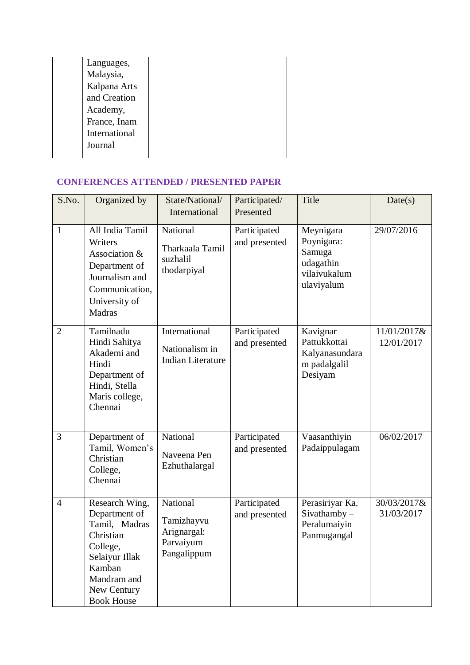| Languages,    |  |  |
|---------------|--|--|
| Malaysia,     |  |  |
| Kalpana Arts  |  |  |
| and Creation  |  |  |
| Academy,      |  |  |
| France, Inam  |  |  |
| International |  |  |
| Journal       |  |  |
|               |  |  |

### **CONFERENCES ATTENDED / PRESENTED PAPER**

| S.No.          | Organized by                                                                                                                                             | State/National/<br>International                                  | Participated/<br>Presented    | Title                                                                        | Date(s)                   |
|----------------|----------------------------------------------------------------------------------------------------------------------------------------------------------|-------------------------------------------------------------------|-------------------------------|------------------------------------------------------------------------------|---------------------------|
| $\mathbf{1}$   | All India Tamil<br>Writers<br>Association &<br>Department of<br>Journalism and<br>Communication,<br>University of<br>Madras                              | National<br>Tharkaala Tamil<br>suzhalil<br>thodarpiyal            | Participated<br>and presented | Meynigara<br>Poynigara:<br>Samuga<br>udagathin<br>vilaivukalum<br>ulaviyalum | 29/07/2016                |
| $\overline{2}$ | Tamilnadu<br>Hindi Sahitya<br>Akademi and<br>Hindi<br>Department of<br>Hindi, Stella<br>Maris college,<br>Chennai                                        | International<br>Nationalism in<br><b>Indian Literature</b>       | Participated<br>and presented | Kavignar<br>Pattukkottai<br>Kalyanasundara<br>m padalgalil<br>Desiyam        | 11/01/2017&<br>12/01/2017 |
| 3              | Department of<br>Tamil, Women's<br>Christian<br>College,<br>Chennai                                                                                      | National<br>Naveena Pen<br>Ezhuthalargal                          | Participated<br>and presented | Vaasanthiyin<br>Padaippulagam                                                | 06/02/2017                |
| $\overline{4}$ | Research Wing,<br>Department of<br>Tamil, Madras<br>Christian<br>College,<br>Selaiyur Illak<br>Kamban<br>Mandram and<br>New Century<br><b>Book House</b> | National<br>Tamizhayvu<br>Arignargal:<br>Parvaiyum<br>Pangalippum | Participated<br>and presented | Perasiriyar Ka.<br>$Sivathamby -$<br>Peralumaiyin<br>Panmugangal             | 30/03/2017&<br>31/03/2017 |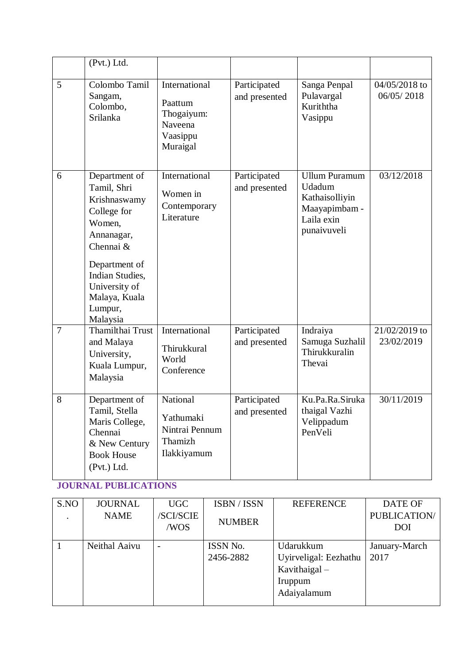|                | (Pvt.) Ltd.                                                                                                                                                                                   |                                                                           |                               |                                                                                                |                             |
|----------------|-----------------------------------------------------------------------------------------------------------------------------------------------------------------------------------------------|---------------------------------------------------------------------------|-------------------------------|------------------------------------------------------------------------------------------------|-----------------------------|
| 5              | Colombo Tamil<br>Sangam,<br>Colombo,<br>Srilanka                                                                                                                                              | International<br>Paattum<br>Thogaiyum:<br>Naveena<br>Vaasippu<br>Muraigal | Participated<br>and presented | Sanga Penpal<br>Pulavargal<br>Kuriththa<br>Vasippu                                             | 04/05/2018 to<br>06/05/2018 |
| 6              | Department of<br>Tamil, Shri<br>Krishnaswamy<br>College for<br>Women,<br>Annanagar,<br>Chennai &<br>Department of<br>Indian Studies,<br>University of<br>Malaya, Kuala<br>Lumpur,<br>Malaysia | International<br>Women in<br>Contemporary<br>Literature                   | Participated<br>and presented | <b>Ullum Puramum</b><br>Udadum<br>Kathaisolliyin<br>Maayapimbam -<br>Laila exin<br>punaivuveli | 03/12/2018                  |
| $\overline{7}$ | Thamilthai Trust<br>and Malaya<br>University,<br>Kuala Lumpur,<br>Malaysia                                                                                                                    | International<br>Thirukkural<br>World<br>Conference                       | Participated<br>and presented | Indraiya<br>Samuga Suzhalil<br>Thirukkuralin<br>Thevai                                         | 21/02/2019 to<br>23/02/2019 |
| 8              | Department of<br>Tamil, Stella<br>Maris College,<br>Chennai<br>& New Century<br><b>Book House</b><br>(Pvt.) Ltd.                                                                              | National<br>Yathumaki<br>Nintrai Pennum<br>Thamizh<br>Ilakkiyamum         | Participated<br>and presented | Ku.Pa.Ra.Siruka<br>thaigal Vazhi<br>Velippadum<br>PenVeli                                      | 30/11/2019                  |

# **JOURNAL PUBLICATIONS**

| S.NO | <b>JOURNAL</b> | UGC             | ISBN / ISSN   | <b>REFERENCE</b>      | <b>DATE OF</b>      |
|------|----------------|-----------------|---------------|-----------------------|---------------------|
|      | <b>NAME</b>    | <b>SCI/SCIE</b> | <b>NUMBER</b> |                       | <b>PUBLICATION/</b> |
|      |                | /WOS            |               |                       | DOI                 |
|      |                |                 |               |                       |                     |
|      | Neithal Aaivu  | $\qquad \qquad$ | ISSN No.      | Udarukkum             | January-March       |
|      |                |                 | 2456-2882     | Uyirveligal: Eezhathu | 2017                |
|      |                |                 |               | Kavithaigal-          |                     |
|      |                |                 |               | Iruppum               |                     |
|      |                |                 |               | Adaiyalamum           |                     |
|      |                |                 |               |                       |                     |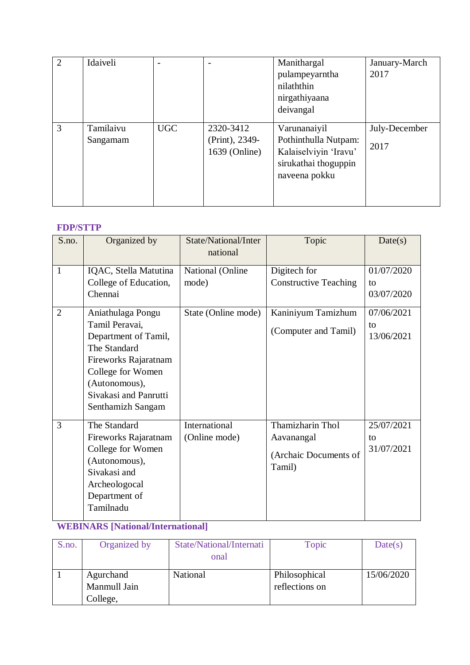| $\overline{2}$ | Idaiveli              | $\overline{a}$ |                                              | Manithargal<br>pulampeyarntha<br>nilaththin<br>nirgathiyaana<br>deivangal                              | January-March<br>2017 |
|----------------|-----------------------|----------------|----------------------------------------------|--------------------------------------------------------------------------------------------------------|-----------------------|
| 3              | Tamilaivu<br>Sangamam | <b>UGC</b>     | 2320-3412<br>(Print), 2349-<br>1639 (Online) | Varunanaiyil<br>Pothinthulla Nutpam:<br>Kalaiselviyin 'Iravu'<br>sirukathai thoguppin<br>naveena pokku | July-December<br>2017 |

# **FDP/STTP**

| S.no.          | Organized by                                                                                                                                                                            | State/National/Inter<br>national | Topic                                                             | Date(s)                        |
|----------------|-----------------------------------------------------------------------------------------------------------------------------------------------------------------------------------------|----------------------------------|-------------------------------------------------------------------|--------------------------------|
| $\mathbf{1}$   | IQAC, Stella Matutina<br>College of Education,<br>Chennai                                                                                                                               | National (Online<br>mode)        | Digitech for<br><b>Constructive Teaching</b>                      | 01/07/2020<br>to<br>03/07/2020 |
| $\overline{2}$ | Aniathulaga Pongu<br>Tamil Peravai,<br>Department of Tamil,<br>The Standard<br>Fireworks Rajaratnam<br>College for Women<br>(Autonomous),<br>Sivakasi and Panrutti<br>Senthamizh Sangam | State (Online mode)              | Kaniniyum Tamizhum<br>(Computer and Tamil)                        | 07/06/2021<br>to<br>13/06/2021 |
| 3              | The Standard<br>Fireworks Rajaratnam<br>College for Women<br>(Autonomous),<br>Sivakasi and<br>Archeologocal<br>Department of<br>Tamilnadu                                               | International<br>(Online mode)   | Thamizharin Thol<br>Aavanangal<br>(Archaic Documents of<br>Tamil) | 25/07/2021<br>to<br>31/07/2021 |

# **WEBINARS [National/International]**

| S.no. | Organized by                          | State/National/Internati<br>onal | Topic                           | Date(s)    |
|-------|---------------------------------------|----------------------------------|---------------------------------|------------|
|       | Agurchand<br>Manmull Jain<br>College, | National                         | Philosophical<br>reflections on | 15/06/2020 |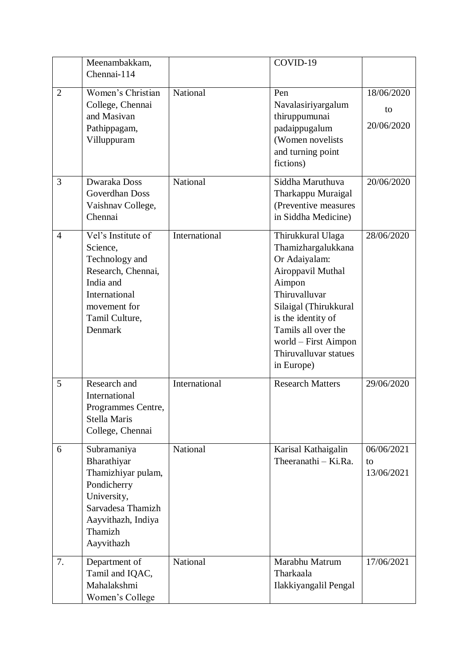|                | Meenambakkam,<br>Chennai-114                                                                                                                       |               | COVID-19                                                                                                                                                                                                                                      |                                |
|----------------|----------------------------------------------------------------------------------------------------------------------------------------------------|---------------|-----------------------------------------------------------------------------------------------------------------------------------------------------------------------------------------------------------------------------------------------|--------------------------------|
| $\overline{2}$ | Women's Christian<br>College, Chennai<br>and Masivan<br>Pathippagam,<br>Villuppuram                                                                | National      | Pen<br>Navalasiriyargalum<br>thiruppumunai<br>padaippugalum<br>(Women novelists<br>and turning point<br>fictions)                                                                                                                             | 18/06/2020<br>to<br>20/06/2020 |
| 3              | Dwaraka Doss<br>Goverdhan Doss<br>Vaishnav College,<br>Chennai                                                                                     | National      | Siddha Maruthuva<br>Tharkappu Muraigal<br>(Preventive measures<br>in Siddha Medicine)                                                                                                                                                         | 20/06/2020                     |
| $\overline{4}$ | Vel's Institute of<br>Science,<br>Technology and<br>Research, Chennai,<br>India and<br>International<br>movement for<br>Tamil Culture,<br>Denmark  | International | Thirukkural Ulaga<br>Thamizhargalukkana<br>Or Adaiyalam:<br>Airoppavil Muthal<br>Aimpon<br>Thiruvalluvar<br>Silaigal (Thirukkural<br>is the identity of<br>Tamils all over the<br>world – First Aimpon<br>Thiruvalluvar statues<br>in Europe) | 28/06/2020                     |
| 5              | Research and<br>International<br>Programmes Centre,<br>Stella Maris<br>College, Chennai                                                            | International | <b>Research Matters</b>                                                                                                                                                                                                                       | 29/06/2020                     |
| 6              | Subramaniya<br>Bharathiyar<br>Thamizhiyar pulam,<br>Pondicherry<br>University,<br>Sarvadesa Thamizh<br>Aayvithazh, Indiya<br>Thamizh<br>Aayvithazh | National      | Karisal Kathaigalin<br>Theeranathi – Ki.Ra.                                                                                                                                                                                                   | 06/06/2021<br>to<br>13/06/2021 |
| 7.             | Department of<br>Tamil and IQAC,<br>Mahalakshmi<br>Women's College                                                                                 | National      | Marabhu Matrum<br>Tharkaala<br>Ilakkiyangalil Pengal                                                                                                                                                                                          | 17/06/2021                     |